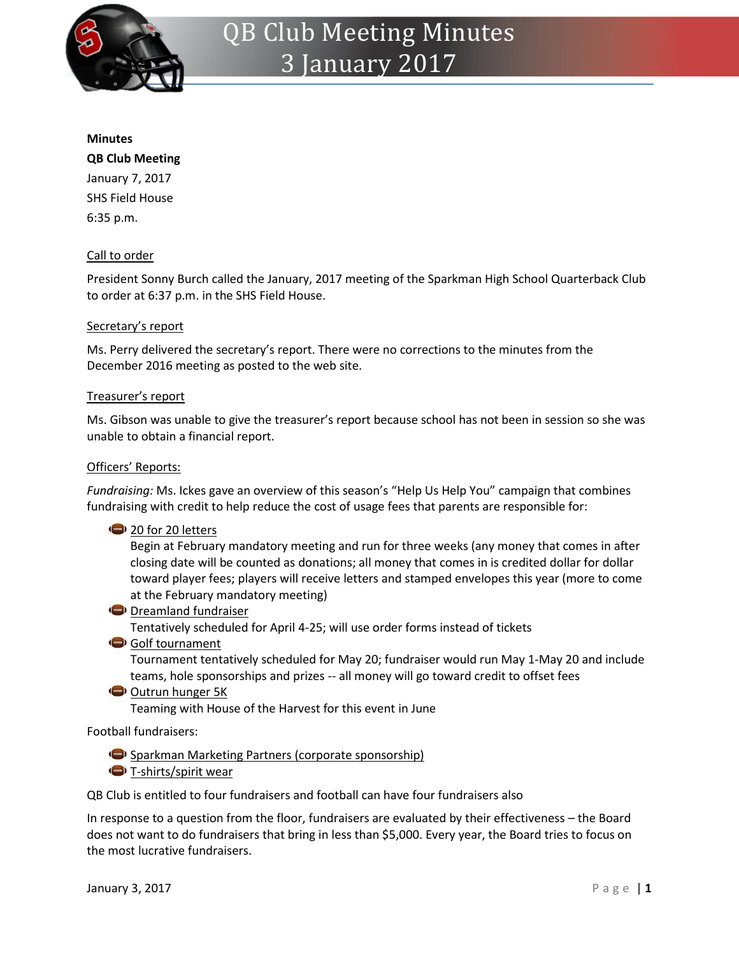

#### **Minutes**

# **QB Club Meeting**

January 7, 2017 SHS Field House 6:35 p.m.

# Call to order

President Sonny Burch called the January, 2017 meeting of the Sparkman High School Quarterback Club to order at 6:37 p.m. in the SHS Field House.

## Secretary's report

Ms. Perry delivered the secretary's report. There were no corrections to the minutes from the December 2016 meeting as posted to the web site.

#### Treasurer's report

Ms. Gibson was unable to give the treasurer's report because school has not been in session so she was unable to obtain a financial report.

#### Officers' Reports:

*Fundraising:* Ms. Ickes gave an overview of this season's "Help Us Help You" campaign that combines fundraising with credit to help reduce the cost of usage fees that parents are responsible for:

## <sup>2</sup> 20 for 20 letters

Begin at February mandatory meeting and run for three weeks (any money that comes in after closing date will be counted as donations; all money that comes in is credited dollar for dollar toward player fees; players will receive letters and stamped envelopes this year (more to come at the February mandatory meeting)

**Dreamland fundraiser** 

Tentatively scheduled for April 4-25; will use order forms instead of tickets

Golf tournament

Tournament tentatively scheduled for May 20; fundraiser would run May 1-May 20 and include teams, hole sponsorships and prizes -- all money will go toward credit to offset fees

Outrun hunger 5K

Teaming with House of the Harvest for this event in June

## Football fundraisers:

**Sparkman Marketing Partners (corporate sponsorship)** 

T-shirts/spirit wear

QB Club is entitled to four fundraisers and football can have four fundraisers also

In response to a question from the floor, fundraisers are evaluated by their effectiveness – the Board does not want to do fundraisers that bring in less than \$5,000. Every year, the Board tries to focus on the most lucrative fundraisers.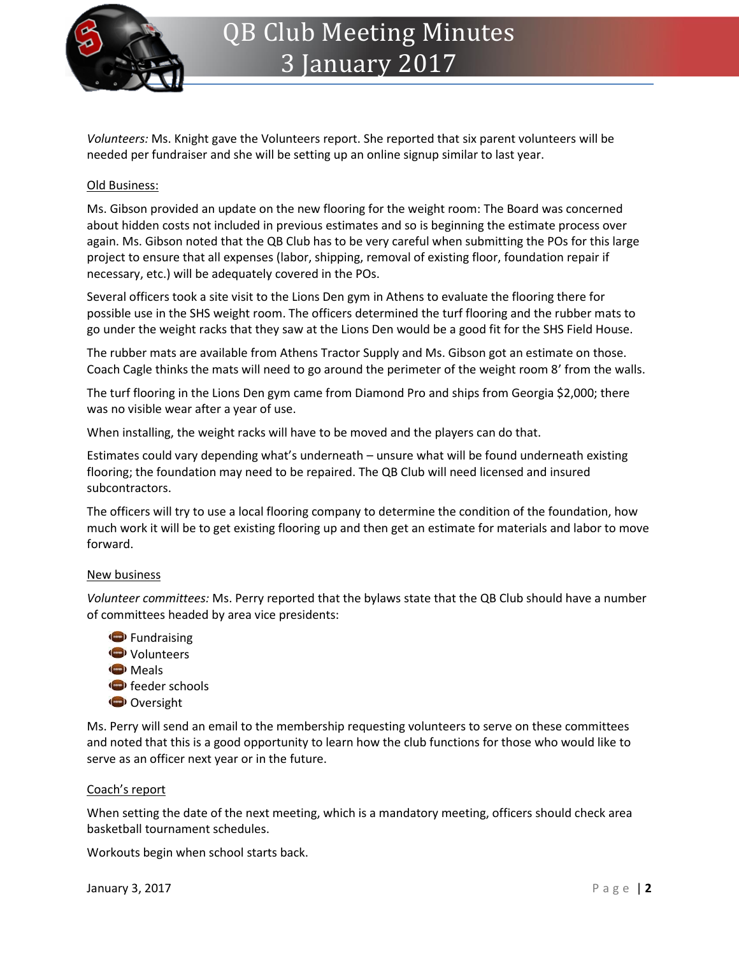

*Volunteers:* Ms. Knight gave the Volunteers report. She reported that six parent volunteers will be needed per fundraiser and she will be setting up an online signup similar to last year.

# Old Business:

Ms. Gibson provided an update on the new flooring for the weight room: The Board was concerned about hidden costs not included in previous estimates and so is beginning the estimate process over again. Ms. Gibson noted that the QB Club has to be very careful when submitting the POs for this large project to ensure that all expenses (labor, shipping, removal of existing floor, foundation repair if necessary, etc.) will be adequately covered in the POs.

Several officers took a site visit to the Lions Den gym in Athens to evaluate the flooring there for possible use in the SHS weight room. The officers determined the turf flooring and the rubber mats to go under the weight racks that they saw at the Lions Den would be a good fit for the SHS Field House.

The rubber mats are available from Athens Tractor Supply and Ms. Gibson got an estimate on those. Coach Cagle thinks the mats will need to go around the perimeter of the weight room 8' from the walls.

The turf flooring in the Lions Den gym came from Diamond Pro and ships from Georgia \$2,000; there was no visible wear after a year of use.

When installing, the weight racks will have to be moved and the players can do that.

Estimates could vary depending what's underneath – unsure what will be found underneath existing flooring; the foundation may need to be repaired. The QB Club will need licensed and insured subcontractors.

The officers will try to use a local flooring company to determine the condition of the foundation, how much work it will be to get existing flooring up and then get an estimate for materials and labor to move forward.

#### New business

*Volunteer committees:* Ms. Perry reported that the bylaws state that the QB Club should have a number of committees headed by area vice presidents:

**Fundraising** Volunteers **Meals feeder schools** Oversight

Ms. Perry will send an email to the membership requesting volunteers to serve on these committees and noted that this is a good opportunity to learn how the club functions for those who would like to serve as an officer next year or in the future.

## Coach's report

When setting the date of the next meeting, which is a mandatory meeting, officers should check area basketball tournament schedules.

Workouts begin when school starts back.